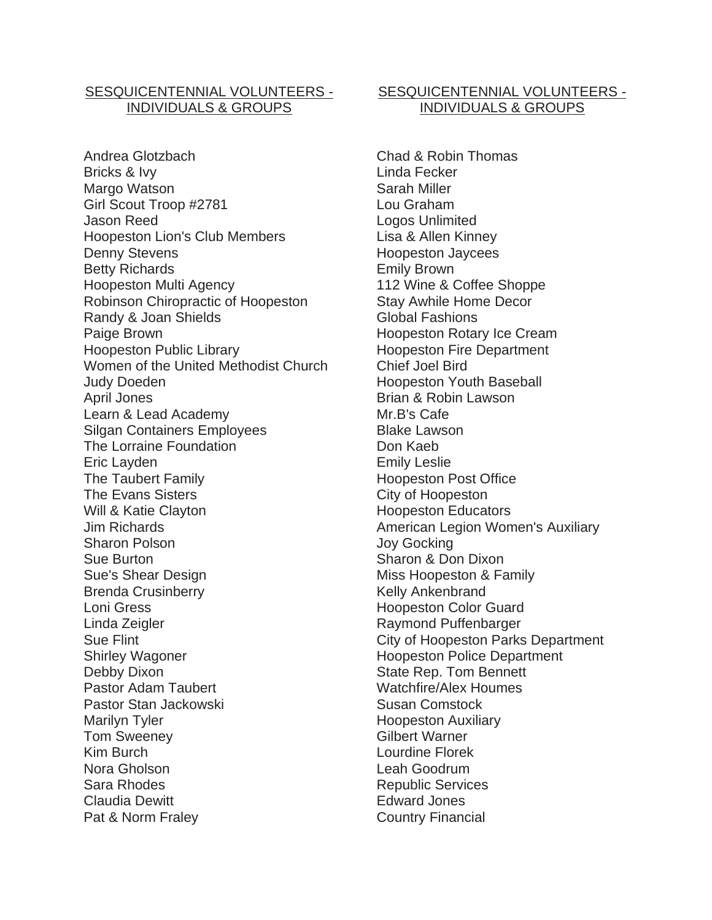## SESQUICENTENNIAL VOLUNTEERS - INDIVIDUALS & GROUPS

Andrea Glotzbach Bricks & Ivy Margo Watson Girl Scout Troop #2781 Jason Reed Hoopeston Lion's Club Members Denny Stevens Betty Richards Hoopeston Multi Agency Robinson Chiropractic of Hoopeston Randy & Joan Shields Paige Brown Hoopeston Public Library Women of the United Methodist Church Judy Doeden April Jones Learn & Lead Academy Silgan Containers Employees The Lorraine Foundation Eric Layden The Taubert Family The Evans Sisters Will & Katie Clayton Jim Richards Sharon Polson Sue Burton Sue's Shear Design Brenda Crusinberry Loni Gress Linda Zeigler Sue Flint Shirley Wagoner Debby Dixon Pastor Adam Taubert Pastor Stan Jackowski Marilyn Tyler Tom Sweeney Kim Burch Nora Gholson Sara Rhodes Claudia Dewitt Pat & Norm Fraley

## SESQUICENTENNIAL VOLUNTEERS - INDIVIDUALS & GROUPS

Chad & Robin Thomas Linda Fecker Sarah Miller Lou Graham Logos Unlimited Lisa & Allen Kinney Hoopeston Jaycees Emily Brown 112 Wine & Coffee Shoppe Stay Awhile Home Decor Global Fashions Hoopeston Rotary Ice Cream Hoopeston Fire Department Chief Joel Bird Hoopeston Youth Baseball Brian & Robin Lawson Mr.B's Cafe Blake Lawson Don Kaeb Emily Leslie Hoopeston Post Office City of Hoopeston Hoopeston Educators American Legion Women's Auxiliary Joy Gocking Sharon & Don Dixon Miss Hoopeston & Family Kelly Ankenbrand Hoopeston Color Guard Raymond Puffenbarger City of Hoopeston Parks Department Hoopeston Police Department State Rep. Tom Bennett Watchfire/Alex Houmes Susan Comstock Hoopeston Auxiliary Gilbert Warner Lourdine Florek Leah Goodrum Republic Services Edward Jones Country Financial